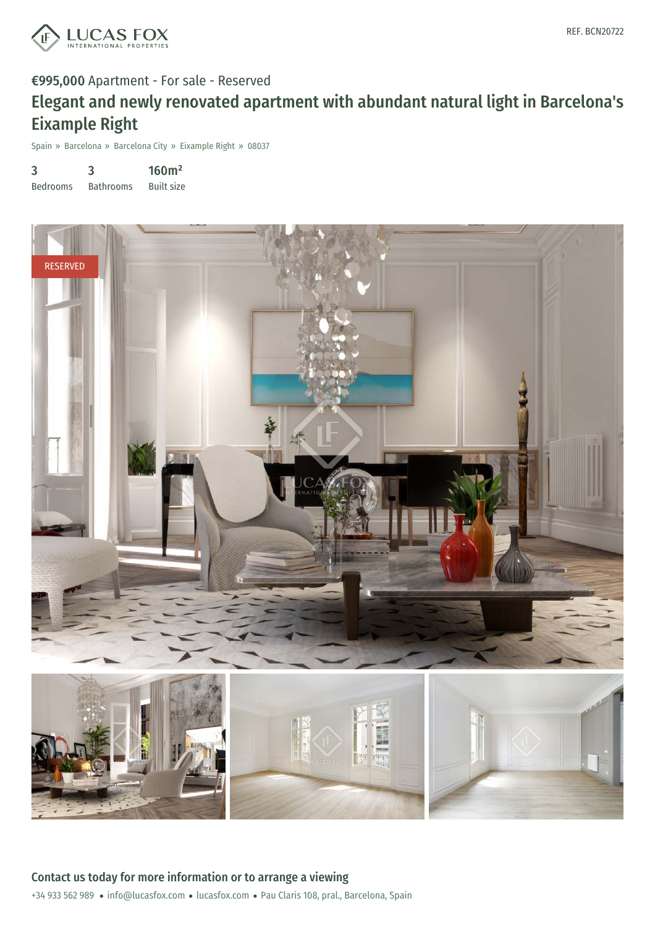

#### €995,000 Apartment - For sale - Reserved

## Elegant and newly renovated apartment with abundant natural light in Barcelona's Eixample Right

Spain » Barcelona » Barcelona City » Eixample Right » 08037

| 3               | 3                | 160m <sup>2</sup> |
|-----------------|------------------|-------------------|
| <b>Bedrooms</b> | <b>Bathrooms</b> | <b>Built size</b> |

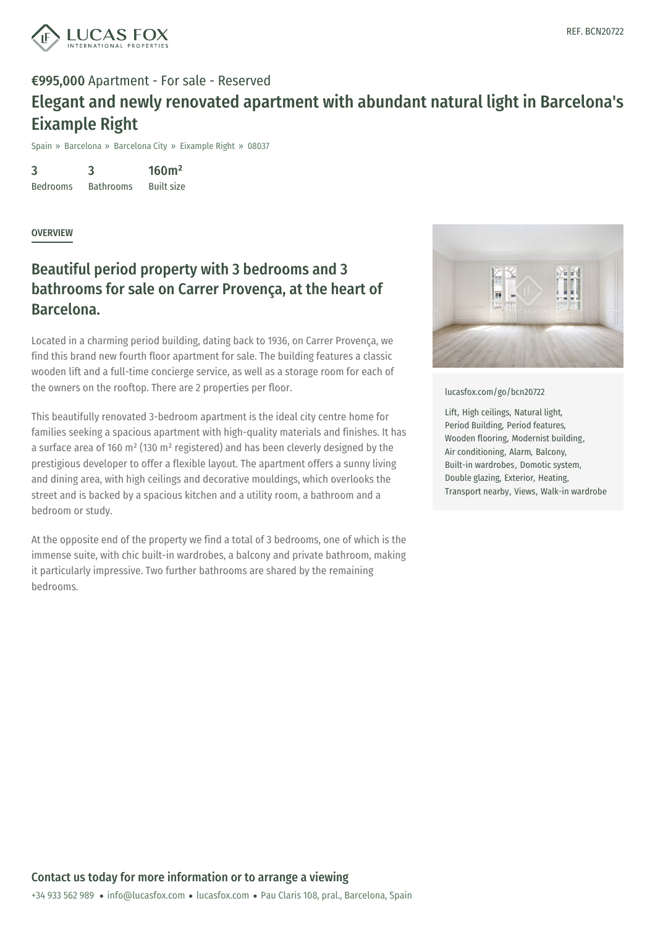

### €995,000 Apartment - For sale - Reserved Elegant and newly renovated apartment with abundant natural light in Barcelona's Eixample Right

Spain » Barcelona » Barcelona City » Eixample Right » 08037

3 Bedrooms 3 Bathrooms 160m² Built size

**OVERVIEW** 

### Beautiful period property with 3 bedrooms and 3 bathrooms for sale on Carrer Provença, at the heart of Barcelona.

Located in a charming period building, dating back to 1936, on Carrer Provença, we find this brand new fourth floor apartment for sale. The building features a classic wooden lift and a full-time concierge service, as well as a storage room for each of the owners on the rooftop. There are 2 properties per floor.

This beautifully renovated 3-bedroom apartment is the ideal city centre home for families seeking a spacious apartment with high-quality materials and finishes. It has a surface area of 160 m² (130 m² registered) and has been cleverly designed by the prestigious developer to offer a flexible layout. The apartment offers a sunny living and dining area, with high ceilings and decorative mouldings, which overlooks the street and is backed by a spacious kitchen and a utility room, a bathroom and a bedroom or study.

At the opposite end of the property we find a total of 3 bedrooms, one of which is the immense suite, with chic built-in wardrobes, a balcony and private bathroom, making it particularly impressive. Two further bathrooms are shared by the remaining bedrooms.



[lucasfox.com/go/bcn20722](https://www.lucasfox.com/go/bcn20722)

Lift, High ceilings, Natural light, Period Building, Period features, Wooden flooring, Modernist building, Air conditioning, Alarm, Balcony, Built-in wardrobes, Domotic system, Double glazing, Exterior, Heating, Transport nearby, Views, Walk-in wardrobe